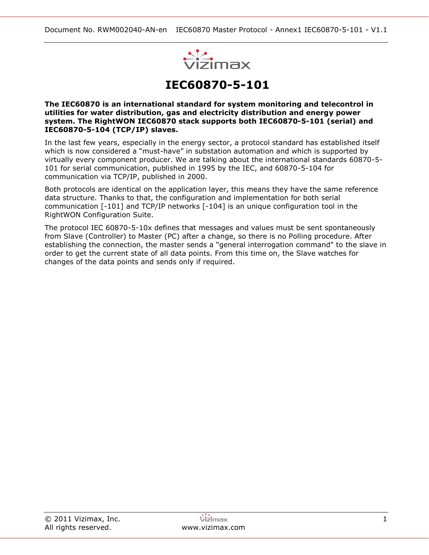

# **IEC60870-5-101**

**The IEC60870 is an international standard for system monitoring and telecontrol in utilities for water distribution, gas and electricity distribution and energy power system. The RightWON IEC60870 stack supports both IEC60870-5-101 (serial) and IEC60870-5-104 (TCP/IP) slaves.**

In the last few years, especially in the energy sector, a protocol standard has established itself which is now considered a "must-have" in substation automation and which is supported by virtually every component producer. We are talking about the international standards 60870-5- 101 for serial communication, published in 1995 by the IEC, and 60870-5-104 for communication via TCP/IP, published in 2000.

Both protocols are identical on the application layer, this means they have the same reference data structure. Thanks to that, the configuration and implementation for both serial communication [-101] and TCP/IP networks [-104] is an unique configuration tool in the RightWON Configuration Suite.

The protocol IEC 60870-5-10x defines that messages and values must be sent spontaneously from Slave (Controller) to Master (PC) after a change, so there is no Polling procedure. After establishing the connection, the master sends a "general interrogation command" to the slave in order to get the current state of all data points. From this time on, the Slave watches for changes of the data points and sends only if required.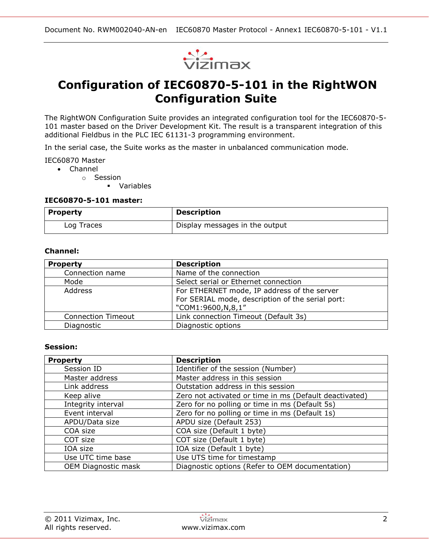

# **Configuration of IEC60870-5-101 in the RightWON Configuration Suite**

The RightWON Configuration Suite provides an integrated configuration tool for the IEC60870-5- 101 master based on the Driver Development Kit. The result is a transparent integration of this additional Fieldbus in the PLC IEC 61131-3 programming environment.

In the serial case, the Suite works as the master in unbalanced communication mode.

IEC60870 Master

- Channel
	- o Session
		- Variables

#### **IEC60870-5-101 master:**

| Property   | <b>Description</b>             |
|------------|--------------------------------|
| Log Traces | Display messages in the output |

#### **Channel:**

| <b>Property</b>                                        | <b>Description</b>                               |
|--------------------------------------------------------|--------------------------------------------------|
| Connection name                                        | Name of the connection                           |
| Mode                                                   | Select serial or Ethernet connection             |
| Address<br>For ETHERNET mode, IP address of the server |                                                  |
|                                                        | For SERIAL mode, description of the serial port: |
|                                                        | "COM1:9600,N,8,1"                                |
| <b>Connection Timeout</b>                              | Link connection Timeout (Default 3s)             |
| Diagnostic                                             | Diagnostic options                               |

#### **Session:**

| <b>Property</b>            | <b>Description</b>                                     |  |
|----------------------------|--------------------------------------------------------|--|
| Session ID                 | Identifier of the session (Number)                     |  |
| Master address             | Master address in this session                         |  |
| Link address               | Outstation address in this session                     |  |
| Keep alive                 | Zero not activated or time in ms (Default deactivated) |  |
| Integrity interval         | Zero for no polling or time in ms (Default 5s)         |  |
| Event interval             | Zero for no polling or time in ms (Default 1s)         |  |
| APDU/Data size             | APDU size (Default 253)                                |  |
| COA size                   | COA size (Default 1 byte)                              |  |
| COT size                   | COT size (Default 1 byte)                              |  |
| IOA size                   | IOA size (Default 1 byte)                              |  |
| Use UTC time base          | Use UTS time for timestamp                             |  |
| <b>OEM Diagnostic mask</b> | Diagnostic options (Refer to OEM documentation)        |  |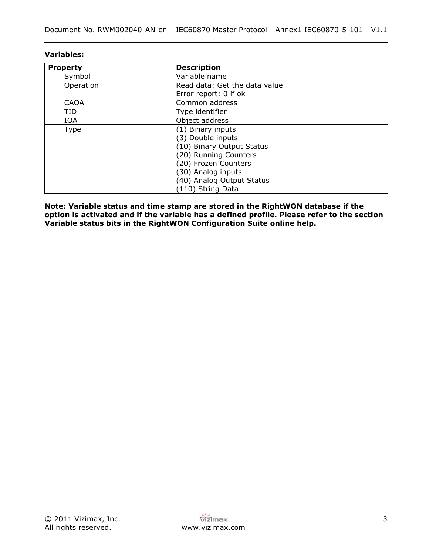| <b>Property</b> | <b>Description</b>            |
|-----------------|-------------------------------|
| Symbol          | Variable name                 |
| Operation       | Read data: Get the data value |
|                 | Error report: 0 if ok         |
| <b>CAOA</b>     | Common address                |
| TID             | Type identifier               |
| <b>IOA</b>      | Object address                |
| <b>Type</b>     | (1) Binary inputs             |
|                 | (3) Double inputs             |
|                 | (10) Binary Output Status     |
|                 | (20) Running Counters         |
|                 | (20) Frozen Counters          |
|                 | (30) Analog inputs            |
|                 | (40) Analog Output Status     |
|                 | (110) String Data             |

### **Variables:**

**Note: Variable status and time stamp are stored in the RightWON database if the option is activated and if the variable has a defined profile. Please refer to the section Variable status bits in the RightWON Configuration Suite online help.**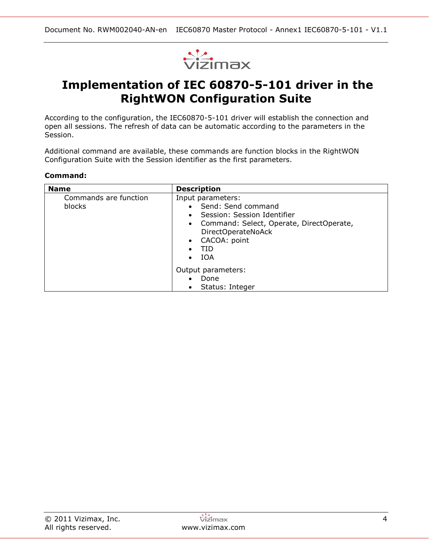

# **Implementation of IEC 60870-5-101 driver in the RightWON Configuration Suite**

According to the configuration, the IEC60870-5-101 driver will establish the connection and open all sessions. The refresh of data can be automatic according to the parameters in the Session.

Additional command are available, these commands are function blocks in the RightWON Configuration Suite with the Session identifier as the first parameters.

#### **Command:**

| <b>Name</b>                     | <b>Description</b>                                                                                                                                                                                            |
|---------------------------------|---------------------------------------------------------------------------------------------------------------------------------------------------------------------------------------------------------------|
| Commands are function<br>blocks | Input parameters:<br>• Send: Send command<br>• Session: Session Identifier<br>• Command: Select, Operate, DirectOperate,<br>DirectOperateNoAck<br>CACOA: point<br>$\bullet$<br>TID<br><b>IOA</b><br>$\bullet$ |
|                                 | Output parameters:<br>Done<br>Status: Integer                                                                                                                                                                 |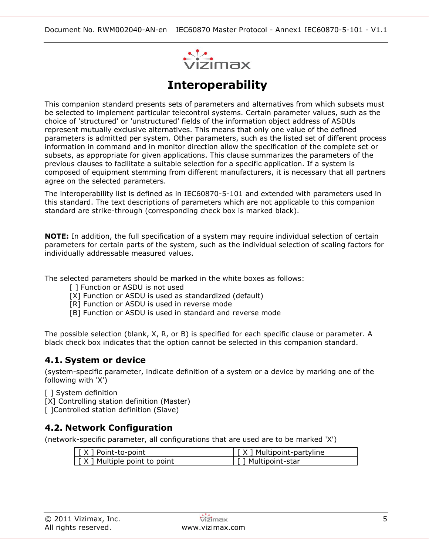

# **Interoperability**

This companion standard presents sets of parameters and alternatives from which subsets must be selected to implement particular telecontrol systems. Certain parameter values, such as the choice of 'structured' or 'unstructured' fields of the information object address of ASDUs represent mutually exclusive alternatives. This means that only one value of the defined parameters is admitted per system. Other parameters, such as the listed set of different process information in command and in monitor direction allow the specification of the complete set or subsets, as appropriate for given applications. This clause summarizes the parameters of the previous clauses to facilitate a suitable selection for a specific application. If a system is composed of equipment stemming from different manufacturers, it is necessary that all partners agree on the selected parameters.

The interoperability list is defined as in IEC60870-5-101 and extended with parameters used in this standard. The text descriptions of parameters which are not applicable to this companion standard are strike-through (corresponding check box is marked black).

**NOTE:** In addition, the full specification of a system may require individual selection of certain parameters for certain parts of the system, such as the individual selection of scaling factors for individually addressable measured values.

The selected parameters should be marked in the white boxes as follows:

- [ ] Function or ASDU is not used
- [X] Function or ASDU is used as standardized (default)
- [R] Function or ASDU is used in reverse mode
- [B] Function or ASDU is used in standard and reverse mode

The possible selection (blank, X, R, or B) is specified for each specific clause or parameter. A black check box indicates that the option cannot be selected in this companion standard.

## **4.1. System or device**

(system-specific parameter, indicate definition of a system or a device by marking one of the following with 'X')

[ ] System definition

[X] Controlling station definition (Master)

[ ]Controlled station definition (Slave)

## **4.2. Network Configuration**

(network-specific parameter, all configurations that are used are to be marked 'X')

| $\vert \int X \vert$ Point-to-point          | $\vert \int X \vert$ Multipoint-partyline    |
|----------------------------------------------|----------------------------------------------|
| $\vert \int X \vert$ Multiple point to point | $\lceil \lceil \cdot \rceil$ Multipoint-star |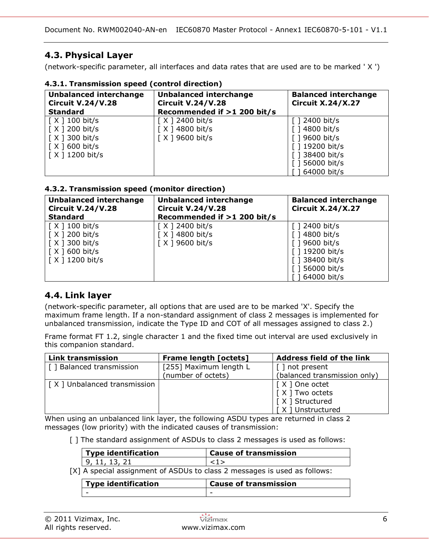Document No. RWM002040-AN-en IEC60870 Master Protocol - Annex1 IEC60870-5-101 - V1.1

# **4.3. Physical Layer**

(network-specific parameter, all interfaces and data rates that are used are to be marked ' X ')

| <b>Unbalanced interchange</b><br><b>Circuit V.24/V.28</b><br><b>Standard</b>                                                                 | <b>Unbalanced interchange</b><br><b>Circuit V.24/V.28</b><br>Recommended if >1 200 bit/s | <b>Balanced interchange</b><br><b>Circuit X.24/X.27</b>                                                           |
|----------------------------------------------------------------------------------------------------------------------------------------------|------------------------------------------------------------------------------------------|-------------------------------------------------------------------------------------------------------------------|
| $\lceil$ X $\rceil$ 100 bit/s<br>$\lceil$ X $\rceil$ 200 bit/s<br>$\lceil$ X ] 300 bit/s<br>$\lceil$ X $\rceil$ 600 bit/s<br>[X ] 1200 bit/s | [X ] 2400 bit/s<br>[ X ] 4800 bit/s<br>$\lceil$ X ] 9600 bit/s                           | 2400 bit/s<br>$\lceil$ 14800 bit/s<br>9600 bit/s<br>[ ] 19200 bit/s<br>38400 bit/s<br>56000 bit/s<br>164000 bit/s |

### **4.3.1. Transmission speed (control direction)**

## **4.3.2. Transmission speed (monitor direction)**

| <b>Unbalanced interchange</b><br><b>Circuit V.24/V.28</b><br><b>Standard</b> | <b>Unbalanced interchange</b><br><b>Circuit V.24/V.28</b><br>Recommended if >1 200 bit/s | <b>Balanced interchange</b><br><b>Circuit X.24/X.27</b> |
|------------------------------------------------------------------------------|------------------------------------------------------------------------------------------|---------------------------------------------------------|
| $\lceil$ X ] 100 bit/s                                                       | $\lceil$ X ] 2400 bit/s                                                                  | $\lceil$ 1 2400 bit/s                                   |
| $\lceil$ X $\rceil$ 200 bit/s                                                | [ X ] 4800 bit/s                                                                         | $\lceil$ 14800 bit/s                                    |
| $\lceil$ X ] 300 bit/s                                                       | $\lceil$ X ] 9600 bit/s                                                                  | [ ] 9600 bit/s                                          |
| $\lceil$ X $\rceil$ 600 bit/s                                                |                                                                                          | [ ] 19200 bit/s                                         |
| $\lceil X \rceil$ 1200 bit/s                                                 |                                                                                          | $\lceil$ 1 38400 bit/s                                  |
|                                                                              |                                                                                          | [ ] 56000 bit/s                                         |
|                                                                              |                                                                                          | [ ] 64000 bit/s                                         |

## **4.4. Link layer**

(network-specific parameter, all options that are used are to be marked 'X'. Specify the maximum frame length. If a non-standard assignment of class 2 messages is implemented for unbalanced transmission, indicate the Type ID and COT of all messages assigned to class 2.)

Frame format FT 1.2, single character 1 and the fixed time out interval are used exclusively in this companion standard.

| Link transmission           | <b>Frame length [octets]</b> | <b>Address field of the link</b> |
|-----------------------------|------------------------------|----------------------------------|
| [] Balanced transmission    | [255] Maximum length L       | [ ] not present                  |
|                             | (number of octets)           | (balanced transmission only)     |
| [X] Unbalanced transmission |                              | [X ] One octet                   |
|                             |                              | [ X ] Two octets                 |
|                             |                              | [X ] Structured                  |
|                             |                              | X ] Unstructured                 |

When using an unbalanced link layer, the following ASDU types are returned in class 2 messages (low priority) with the indicated causes of transmission:

- -

[] The standard assignment of ASDUs to class 2 messages is used as follows:

| <b>Type identification</b>                                                | <b>Cause of transmission</b> |  |
|---------------------------------------------------------------------------|------------------------------|--|
| 9, 11, 13, 21                                                             | $\langle 1 \rangle$          |  |
| [X] A special assignment of ASDUs to class 2 messages is used as follows: |                              |  |
| <b>Type identification</b>                                                | <b>Cause of transmission</b> |  |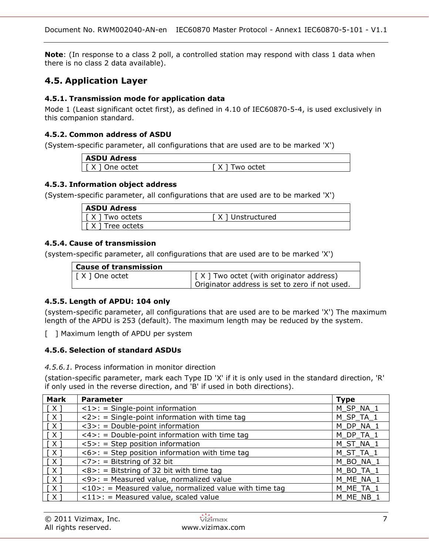**Note**: (In response to a class 2 poll, a controlled station may respond with class 1 data when there is no class 2 data available).

# **4.5. Application Layer**

### **4.5.1. Transmission mode for application data**

Mode 1 (Least significant octet first), as defined in 4.10 of IEC60870-5-4, is used exclusively in this companion standard.

### **4.5.2. Common address of ASDU**

(System-specific parameter, all configurations that are used are to be marked 'X')

| <b>ASDU Adress</b>  |                 |
|---------------------|-----------------|
| One octet<br>v<br>Λ | X.<br>Two octet |

### **4.5.3. Information object address**

(System-specific parameter, all configurations that are used are to be marked 'X')

| <b>ASDU Adress</b> |                  |
|--------------------|------------------|
| Two octets         | X ] Unstructured |
| Free octets        |                  |

### **4.5.4. Cause of transmission**

(system-specific parameter, all configurations that are used are to be marked 'X')

| <b>Cause of transmission</b> |                                                                      |
|------------------------------|----------------------------------------------------------------------|
| [ X ] One octet              | $\vert$ $\vert$ $\times$ $\vert$ Two octet (with originator address) |
|                              | Originator address is set to zero if not used.                       |

### **4.5.5. Length of APDU: 104 only**

(system-specific parameter, all configurations that are used are to be marked 'X') The maximum length of the APDU is 253 (default). The maximum length may be reduced by the system.

[ ] Maximum length of APDU per system

### **4.5.6. Selection of standard ASDUs**

#### *4.5.6.1.* Process information in monitor direction

(station-specific parameter, mark each Type ID 'X' if it is only used in the standard direction, 'R' if only used in the reverse direction, and 'B' if used in both directions).

| <b>Mark</b>  | <b>Parameter</b>                                               | <b>Type</b> |
|--------------|----------------------------------------------------------------|-------------|
| $\lceil$ X ] | $\langle 1 \rangle$ : = Single-point information               | M SP NA 1   |
| [ X ]        | $\langle 2 \rangle$ : = Single-point information with time tag | M SP TA 1   |
| $\lceil$ X ] | $<$ 3>: = Double-point information                             | M DP NA 1   |
| $\lceil$ X ] | $\langle 4 \rangle$ : = Double-point information with time tag | M DP TA 1   |
| $\lceil$ X ] | $5>$ : = Step position information                             | M ST NA 1   |
| [X]          | $<6>$ : = Step position information with time tag              | M_ST_TA_1   |
| $\lceil$ X ] | $\langle 7 \rangle$ : = Bitstring of 32 bit                    | M BO NA 1   |
| [X]          | $<8>$ : = Bitstring of 32 bit with time tag                    | M BO TA 1   |
| [X]          | <9>: = Measured value, normalized value                        | M ME NA 1   |
| [X]          | $<$ 10>: = Measured value, normalized value with time tag      | M_ME_TA_1   |
| $\lceil$ X ] | $\langle 11 \rangle$ : = Measured value, scaled value          | M ME NB 1   |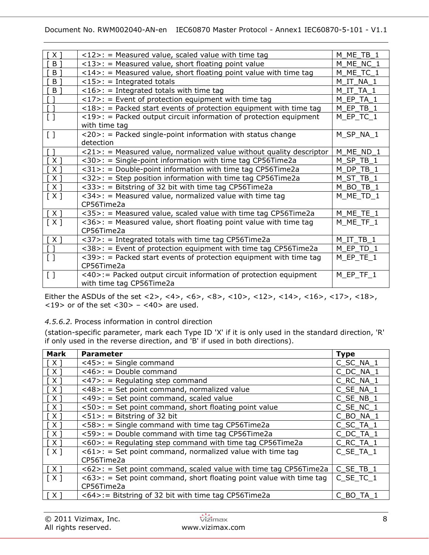#### Document No. RWM002040-AN-en IEC60870 Master Protocol - Annex1 IEC60870-5-101 - V1.1

| ์ X 1                                       | $<$ 12>: = Measured value, scaled value with time tag                                | M ME TB 1      |
|---------------------------------------------|--------------------------------------------------------------------------------------|----------------|
| B <sub>1</sub>                              | $<$ 13>: = Measured value, short floating point value                                | M ME NC 1      |
| B <sub>1</sub>                              | $\langle 14 \rangle$ : = Measured value, short floating point value with time tag    | M ME TC 1      |
| $\vert$ B ]                                 | $<$ 15>: = Integrated totals                                                         | M IT NA 1      |
| $\mathsf{B}$ ]                              | $<16>$ : = Integrated totals with time tag                                           | M IT TA 1      |
| $\sqrt{1}$                                  | $\langle 17 \rangle$ : = Event of protection equipment with time tag                 | M EP TA 1      |
| $\lceil$ $\rceil$                           | $\langle 18 \rangle$ : = Packed start events of protection equipment with time tag   | $M$ EP_TB_1    |
| $\left[\begin{array}{c}1\end{array}\right]$ | $\langle 19 \rangle$ : = Packed output circuit information of protection equipment   | M_EP_TC_1      |
|                                             | with time tag                                                                        |                |
| $\begin{bmatrix} 1 \end{bmatrix}$           | $\langle 20 \rangle$ : = Packed single-point information with status change          | M_SP_NA_1      |
|                                             | detection                                                                            |                |
| $\lceil$ $\rceil$                           | $\langle 21 \rangle$ : = Measured value, normalized value without quality descriptor | M ME ND 1      |
| [X]                                         | <30>: = Single-point information with time tag CP56Time2a                            | M SP TB 1      |
| $\lceil$ X ]                                | <31>: = Double-point information with time tag CP56Time2a                            | $M\_DP\_TB\_1$ |
| $\lceil$ X ]                                | <32>: = Step position information with time tag CP56Time2a                           | M ST TB 1      |
| [X]                                         | <33>: = Bitstring of 32 bit with time tag CP56Time2a                                 | M BO_TB_1      |
| [X]                                         | $\langle 34 \rangle$ : = Measured value, normalized value with time tag              | M ME TD 1      |
|                                             | CP56Time2a                                                                           |                |
| [X]                                         | <35>: = Measured value, scaled value with time tag CP56Time2a                        | M ME_TE_1      |
| [X]                                         | $\langle 36 \rangle$ : = Measured value, short floating point value with time tag    | $M_ME_TF_1$    |
|                                             | CP56Time2a                                                                           |                |
| [X]                                         | <37>: = Integrated totals with time tag CP56Time2a                                   | M IT TB 1      |
| $\sqrt{1}$                                  | <38>: = Event of protection equipment with time tag CP56Time2a                       | M_EP_TD_1      |
| $\left[\begin{array}{c}1\end{array}\right]$ | $<$ 39>: = Packed start events of protection equipment with time tag                 | $M$ EP_TE_1    |
|                                             | CP56Time2a                                                                           |                |
| $\left[\begin{array}{c}1\end{array}\right]$ | <40>:= Packed output circuit information of protection equipment                     | $M$ EP_TF_1    |
|                                             | with time tag CP56Time2a                                                             |                |

Either the ASDUs of the set <2>, <4>, <6>, <6>, <10>, <10>, <12>, <14>, <16>, <17>, <18>,  $<$ 19> or of the set  $<$ 30> -  $<$ 40> are used.

### *4.5.6.2.* Process information in control direction

(station-specific parameter, mark each Type ID 'X' if it is only used in the standard direction, 'R' if only used in the reverse direction, and 'B' if used in both directions).

| <b>Mark</b>         | <b>Parameter</b>                                                       | <b>Type</b> |
|---------------------|------------------------------------------------------------------------|-------------|
| $\lceil$ X ]        | $<45>$ : = Single command                                              | C SC NA 1   |
| $\lceil$ X ]        | $<$ 46>: = Double command                                              | C DC NA 1   |
| $\lceil$ X ]        | $\langle 47 \rangle$ : = Regulating step command                       | C RC NA 1   |
| [X]                 | <48>: = Set point command, normalized value                            | C SE NA 1   |
| $\lceil$ X $\rceil$ | <49>: = Set point command, scaled value                                | C SE_NB_1   |
| $\lceil$ X $\rceil$ | $<50>$ : = Set point command, short floating point value               | C SE NC 1   |
| [ X ]               | $<51>$ : = Bitstring of 32 bit                                         | C BO NA 1   |
| $\lceil X \rceil$   | <58>: = Single command with time tag CP56Time2a                        | C_SC_TA_1   |
| [X]                 | <59>: = Double command with time tag CP56Time2a                        | C DC TA 1   |
| $\lceil$ X ]        | $<60>$ : = Regulating step command with time tag CP56Time2a            | C RC TA 1   |
| [X]                 | $<61>$ : = Set point command, normalized value with time tag           | C SE TA 1   |
|                     | CP56Time2a                                                             |             |
| [X]                 | $<62>$ : = Set point command, scaled value with time tag CP56Time2a    | C SE TB 1   |
| [X]                 | $<63>$ : = Set point command, short floating point value with time tag | C SE TC 1   |
|                     | CP56Time2a                                                             |             |
| $\lceil$ X ]        | <64>:= Bitstring of 32 bit with time tag CP56Time2a                    | C BO TA 1   |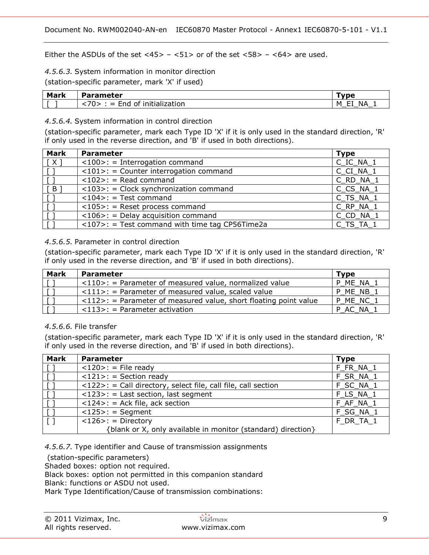Either the ASDUs of the set  $\langle 45 \rangle - \langle 51 \rangle$  or of the set  $\langle 58 \rangle - \langle 64 \rangle$  are used.

# *4.5.6.3.* System information in monitor direction

(station-specific parameter, mark 'X' if used)

| <b>Mark</b> | Parameter                                                                 | wne vo                                 |
|-------------|---------------------------------------------------------------------------|----------------------------------------|
|             | . .<br>.<br>initialization<br>of.<br>$\sim$<br>na<br>_<br>-<br>. <i>.</i> | --<br>NΑ<br>м<br>- -<br>_<br>__<br>___ |

#### *4.5.6.4.* System information in control direction

(station-specific parameter, mark each Type ID 'X' if it is only used in the standard direction, 'R' if only used in the reverse direction, and 'B' if used in both directions).

| <b>Mark</b>    | <b>Parameter</b>                                                | <b>Type</b> |
|----------------|-----------------------------------------------------------------|-------------|
| $\lceil$ X ]   | $<$ 100>: = Interrogation command                               | C_IC_NA_1   |
|                | $<$ 101>: = Counter interrogation command                       | C CI NA 1   |
|                | $<102>$ : = Read command                                        | C_RD_NA_1   |
| $\overline{B}$ | $<$ 103>: = Clock synchronization command                       | C CS NA 1   |
|                | $<$ 104>: = Test command                                        | C TS NA 1   |
|                | $<$ 105>: = Reset process command                               | C RP NA 1   |
|                | $<$ 106>: = Delay acquisition command                           | C_CD_NA_1   |
|                | $\langle 107 \rangle$ : = Test command with time tag CP56Time2a | C TS TA 1   |

#### *4.5.6.5.* Parameter in control direction

(station-specific parameter, mark each Type ID 'X' if it is only used in the standard direction, 'R' if only used in the reverse direction, and 'B' if used in both directions).

| <b>Mark</b> | <b>Parameter</b>                                                                  | Tvpe      |
|-------------|-----------------------------------------------------------------------------------|-----------|
|             | $\langle 110 \rangle$ : = Parameter of measured value, normalized value           | P ME NA 1 |
|             | $\langle 111 \rangle$ : = Parameter of measured value, scaled value               | ME NB 1   |
|             | $\langle 112 \rangle$ : = Parameter of measured value, short floating point value | P ME NC 1 |
|             | $\langle 113 \rangle$ : = Parameter activation                                    | P AC NA 1 |

### *4.5.6.6.* File transfer

(station-specific parameter, mark each Type ID 'X' if it is only used in the standard direction, 'R' if only used in the reverse direction, and 'B' if used in both directions).

| <b>Mark</b>                | <b>Parameter</b>                                              | <b>Type</b> |
|----------------------------|---------------------------------------------------------------|-------------|
| $\cdot$ [ $\overline{ }$ ] | $<120>$ : = File ready                                        | F FR NA 1   |
|                            | $<121>$ : = Section ready                                     | F SR NA 1   |
|                            | <122>: = Call directory, select file, call file, call section | F_SC_NA_1   |
|                            | $\langle 123 \rangle$ : = Last section, last segment          | F LS NA 1   |
|                            | $\langle 124 \rangle$ : = Ack file, ack section               | F AF NA 1   |
|                            | $<$ 125>: = Segment                                           | F_SG_NA_1   |
|                            | $<$ 126>: = Directory                                         | F DR_TA_1   |
|                            | {blank or X, only available in monitor (standard) direction}  |             |

### *4.5.6.7.* Type identifier and Cause of transmission assignments

(station-specific parameters)

Shaded boxes: option not required.

Black boxes: option not permitted in this companion standard

Blank: functions or ASDU not used.

Mark Type Identification/Cause of transmission combinations: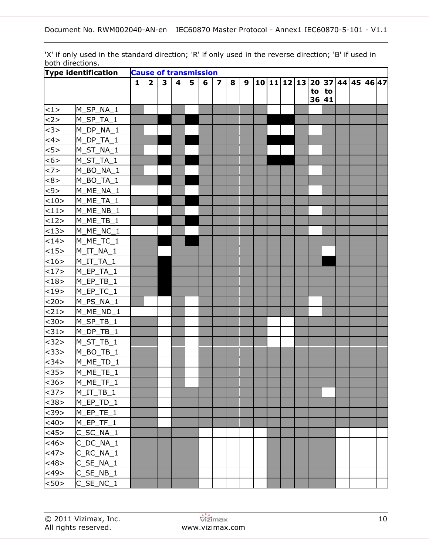'X' if only used in the standard direction; 'R' if only used in the reverse direction; 'B' if used in both directions.

| <b>Type identification</b> | <b>Cause of transmission</b> |              |                         |              |                         |   |   |                         |   |   |  |  |                               |  |                  |  |  |
|----------------------------|------------------------------|--------------|-------------------------|--------------|-------------------------|---|---|-------------------------|---|---|--|--|-------------------------------|--|------------------|--|--|
|                            |                              | $\mathbf{1}$ | $\overline{\mathbf{2}}$ | $\mathbf{3}$ | $\overline{\mathbf{4}}$ | 5 | 6 | $\overline{\mathbf{z}}$ | 8 | 9 |  |  | 10 11 12 13 20 37 44 45 46 47 |  | to   to<br>36 41 |  |  |
| <1>                        | M_SP_NA_1                    |              |                         |              |                         |   |   |                         |   |   |  |  |                               |  |                  |  |  |
| <2>                        | M_SP_TA_1                    |              |                         |              |                         |   |   |                         |   |   |  |  |                               |  |                  |  |  |
| <3>                        | M_DP_NA_1                    |              |                         |              |                         |   |   |                         |   |   |  |  |                               |  |                  |  |  |
| <4>                        | M_DP_TA_1                    |              |                         |              |                         |   |   |                         |   |   |  |  |                               |  |                  |  |  |
| 5>                         | $M_S$ T_NA_1                 |              |                         |              |                         |   |   |                         |   |   |  |  |                               |  |                  |  |  |
| <6>                        | $M_S$ T_TA_1                 |              |                         |              |                         |   |   |                         |   |   |  |  |                               |  |                  |  |  |
| <7>                        | M_BO_NA_1                    |              |                         |              |                         |   |   |                         |   |   |  |  |                               |  |                  |  |  |
| <8>                        | M_BO_TA_1                    |              |                         |              |                         |   |   |                         |   |   |  |  |                               |  |                  |  |  |
| $9$                        | M_ME_NA_1                    |              |                         |              |                         |   |   |                         |   |   |  |  |                               |  |                  |  |  |
| <10>                       | M_ME_TA_1                    |              |                         |              |                         |   |   |                         |   |   |  |  |                               |  |                  |  |  |
| <11>                       | $M_ME_NB_1$                  |              |                         |              |                         |   |   |                         |   |   |  |  |                               |  |                  |  |  |
| <12>                       | $M_ME_TB_1$                  |              |                         |              |                         |   |   |                         |   |   |  |  |                               |  |                  |  |  |
| <13>                       | M_ME_NC_1                    |              |                         |              |                         |   |   |                         |   |   |  |  |                               |  |                  |  |  |
| <14>                       | M_ME_TC_1                    |              |                         |              |                         |   |   |                         |   |   |  |  |                               |  |                  |  |  |
| <15>                       | $M_I$ T_NA_1                 |              |                         |              |                         |   |   |                         |   |   |  |  |                               |  |                  |  |  |
| <16>                       | $M_I$ T $_I$ TA $_1$         |              |                         |              |                         |   |   |                         |   |   |  |  |                               |  |                  |  |  |
| <17>                       | M_EP_TA_1                    |              |                         |              |                         |   |   |                         |   |   |  |  |                               |  |                  |  |  |
| <18>                       | $M$ <sup>EP_TB_1</sup>       |              |                         |              |                         |   |   |                         |   |   |  |  |                               |  |                  |  |  |
| <19>                       | M_EP_TC_1                    |              |                         |              |                         |   |   |                         |   |   |  |  |                               |  |                  |  |  |
| <20>                       | M_PS_NA_1                    |              |                         |              |                         |   |   |                         |   |   |  |  |                               |  |                  |  |  |
| <21>                       | M_ME_ND_1                    |              |                         |              |                         |   |   |                         |   |   |  |  |                               |  |                  |  |  |
| $30$                       | $M$ <sub>_</sub> SP_TB_1     |              |                         |              |                         |   |   |                         |   |   |  |  |                               |  |                  |  |  |
| <31>                       | $M_D$ P_TB_1                 |              |                         |              |                         |   |   |                         |   |   |  |  |                               |  |                  |  |  |
| <32>                       | $M_ST_TB_1$                  |              |                         |              |                         |   |   |                         |   |   |  |  |                               |  |                  |  |  |
| <33>                       | $M_BO_TB_1$                  |              |                         |              |                         |   |   |                         |   |   |  |  |                               |  |                  |  |  |
| <34>                       | M_ME_TD_1                    |              |                         |              |                         |   |   |                         |   |   |  |  |                               |  |                  |  |  |
| $ $ < 35 >                 | M_ME_TE_1                    |              |                         |              |                         |   |   |                         |   |   |  |  |                               |  |                  |  |  |
| < 36 >                     | $M_ME_TF_1$                  |              |                         |              |                         |   |   |                         |   |   |  |  |                               |  |                  |  |  |
| <37>                       | $M_I$ T_TB_1                 |              |                         |              |                         |   |   |                         |   |   |  |  |                               |  |                  |  |  |
| $38>$                      | $M$ EP_TD_1                  |              |                         |              |                         |   |   |                         |   |   |  |  |                               |  |                  |  |  |
| $39>$                      | M_EP_TE_1                    |              |                         |              |                         |   |   |                         |   |   |  |  |                               |  |                  |  |  |
| <40>                       | M_EP_TF_1                    |              |                         |              |                         |   |   |                         |   |   |  |  |                               |  |                  |  |  |
| <45>                       | $C$ _SC_NA_1                 |              |                         |              |                         |   |   |                         |   |   |  |  |                               |  |                  |  |  |
| <46>                       | C_DC_NA_1                    |              |                         |              |                         |   |   |                         |   |   |  |  |                               |  |                  |  |  |
| <47>                       | $C_R C_N A_1$                |              |                         |              |                         |   |   |                         |   |   |  |  |                               |  |                  |  |  |
| <48>                       | $C$ <sub>SE</sub> $NA_1$     |              |                         |              |                         |   |   |                         |   |   |  |  |                               |  |                  |  |  |
| <49>                       | $C$ _SE_NB_1                 |              |                         |              |                         |   |   |                         |   |   |  |  |                               |  |                  |  |  |
| $ $ < 50 >                 | $C$ _SE_NC_1                 |              |                         |              |                         |   |   |                         |   |   |  |  |                               |  |                  |  |  |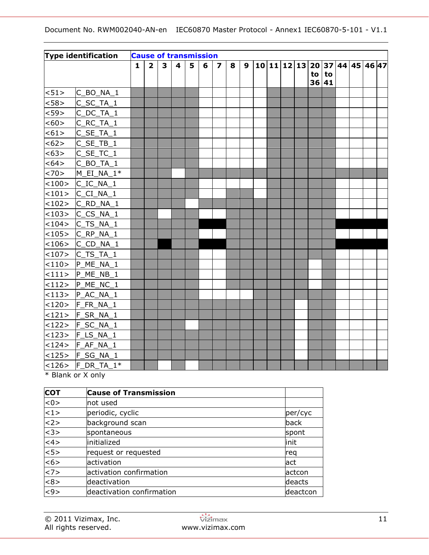|         | Type identification      | <b>Cause of transmission</b> |                         |                         |                         |   |   |                         |   |   |  |  |    |             |  |                               |  |
|---------|--------------------------|------------------------------|-------------------------|-------------------------|-------------------------|---|---|-------------------------|---|---|--|--|----|-------------|--|-------------------------------|--|
|         |                          | 1                            | $\overline{\mathbf{2}}$ | $\overline{\mathbf{3}}$ | $\overline{\mathbf{4}}$ | 5 | 6 | $\overline{\mathbf{z}}$ | 8 | 9 |  |  | to | to<br>36 41 |  | 10 11 12 13 20 37 44 45 46 47 |  |
| < 51 >  | C_BO_NA_1                |                              |                         |                         |                         |   |   |                         |   |   |  |  |    |             |  |                               |  |
| < 58    | $C$ <sub>_</sub> SC_TA_1 |                              |                         |                         |                         |   |   |                         |   |   |  |  |    |             |  |                               |  |
| < 59>   | $C$ <sub>_DC_TA_1</sub>  |                              |                         |                         |                         |   |   |                         |   |   |  |  |    |             |  |                               |  |
| <60>    | C_RC_TA_1                |                              |                         |                         |                         |   |   |                         |   |   |  |  |    |             |  |                               |  |
| < 61 >  | $C$ <sub>_</sub> SE_TA_1 |                              |                         |                         |                         |   |   |                         |   |   |  |  |    |             |  |                               |  |
| <62>    | $C$ <sub>_</sub> SE_TB_1 |                              |                         |                         |                         |   |   |                         |   |   |  |  |    |             |  |                               |  |
| <63>    | $C$ _SE_TC_1             |                              |                         |                         |                         |   |   |                         |   |   |  |  |    |             |  |                               |  |
| < 64 >  | $C$ _BO_TA_1             |                              |                         |                         |                         |   |   |                         |   |   |  |  |    |             |  |                               |  |
| < 70    | M_EI_NA_1*               |                              |                         |                         |                         |   |   |                         |   |   |  |  |    |             |  |                               |  |
| <100>   | C_IC_NA_1                |                              |                         |                         |                         |   |   |                         |   |   |  |  |    |             |  |                               |  |
| <101>   | $C_C$ $N_A$ <sub>1</sub> |                              |                         |                         |                         |   |   |                         |   |   |  |  |    |             |  |                               |  |
| < 102 > | $C_RD_NA_1$              |                              |                         |                         |                         |   |   |                         |   |   |  |  |    |             |  |                               |  |
| <103>   | $ C \; CS \; NA \; 1$    |                              |                         |                         |                         |   |   |                         |   |   |  |  |    |             |  |                               |  |
| < 104 > | C_TS_NA_1                |                              |                         |                         |                         |   |   |                         |   |   |  |  |    |             |  |                               |  |
|         | $<$ 105> C RP NA 1       |                              |                         |                         |                         |   |   |                         |   |   |  |  |    |             |  |                               |  |
|         | $<$ 106> $ C\_CD\_NA_1$  |                              |                         |                         |                         |   |   |                         |   |   |  |  |    |             |  |                               |  |
|         | $<$ 107> $ C_TS_TA_1$    |                              |                         |                         |                         |   |   |                         |   |   |  |  |    |             |  |                               |  |
| <110>   | P_ME_NA_1                |                              |                         |                         |                         |   |   |                         |   |   |  |  |    |             |  |                               |  |
|         | $<$ 111> $ P_ME_NB_1 $   |                              |                         |                         |                         |   |   |                         |   |   |  |  |    |             |  |                               |  |
| <112>   | P ME NC 1                |                              |                         |                         |                         |   |   |                         |   |   |  |  |    |             |  |                               |  |
|         | $ $ <113> $ $ P_AC_NA_1  |                              |                         |                         |                         |   |   |                         |   |   |  |  |    |             |  |                               |  |
|         | <120> F_FR_NA_1          |                              |                         |                         |                         |   |   |                         |   |   |  |  |    |             |  |                               |  |
|         | $<$ 121> $F_S$ R_NA_1    |                              |                         |                         |                         |   |   |                         |   |   |  |  |    |             |  |                               |  |
|         | $<$ 122> F_SC_NA_1       |                              |                         |                         |                         |   |   |                         |   |   |  |  |    |             |  |                               |  |
|         | $<$ 123>  F_LS_NA_1      |                              |                         |                         |                         |   |   |                         |   |   |  |  |    |             |  |                               |  |
|         | $<$ 124> $ F_AF_NA_1 $   |                              |                         |                         |                         |   |   |                         |   |   |  |  |    |             |  |                               |  |
|         | <125> F_SG_NA_1          |                              |                         |                         |                         |   |   |                         |   |   |  |  |    |             |  |                               |  |
|         | $ $ <126> F_DR_TA_1*     |                              |                         |                         |                         |   |   |                         |   |   |  |  |    |             |  |                               |  |

\* Blank or X only

<span id="page-10-0"></span>

| <b>COT</b>                                | <b>Cause of Transmission</b> |          |
|-------------------------------------------|------------------------------|----------|
| < 0                                       | not used                     |          |
| $ $ < 1 >                                 | periodic, cyclic             | per/cyc  |
| $\langle 2 \rangle$                       | background scan              | back     |
| $\overline{\left\langle 3 \right\rangle}$ | spontaneous                  | spont    |
| $\langle 4 \rangle$                       | initialized                  | linit    |
| 5                                         | request or requested         | reg      |
| $\overline{56}$                           | activation                   | lact     |
| <7>                                       | activation confirmation      | actcon   |
| <8>                                       | deactivation                 | deacts   |
| $\overline{5}$                            | deactivation confirmation    | deactcon |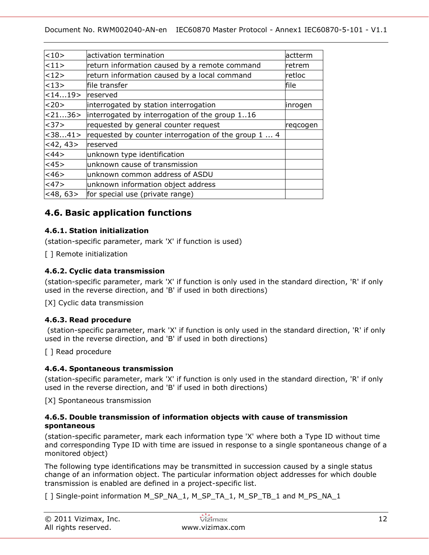| <10>          | activation termination                               | actterm  |
|---------------|------------------------------------------------------|----------|
| <11>          | return information caused by a remote command        | lretrem  |
| 12>           | return information caused by a local command         | retloc   |
| $ $ < 13 >    | file transfer                                        | file     |
| $ $ < 1419 >  | reserved                                             |          |
| <20>          | interrogated by station interrogation                | linrogen |
| 22136>        | interrogated by interrogation of the group 116       |          |
| <37>          | requested by general counter request                 | regcogen |
| $ <$ 3841>    | requested by counter interrogation of the group 1  4 |          |
| $<$ 42, 43>   | reserved                                             |          |
| <44>          | unknown type identification                          |          |
| <45>          | unknown cause of transmission                        |          |
| <46>          | unknown common address of ASDU                       |          |
| <47>          | unknown information object address                   |          |
| $ <$ 48, 63 > | for special use (private range)                      |          |
|               |                                                      |          |

## **4.6. Basic application functions**

### **4.6.1. Station initialization**

(station-specific parameter, mark 'X' if function is used)

[ ] Remote initialization

### **4.6.2. Cyclic data transmission**

(station-specific parameter, mark 'X' if function is only used in the standard direction, 'R' if only used in the reverse direction, and 'B' if used in both directions)

[X] Cyclic data transmission

### **4.6.3. Read procedure**

(station-specific parameter, mark 'X' if function is only used in the standard direction, 'R' if only used in the reverse direction, and 'B' if used in both directions)

[ ] Read procedure

### **4.6.4. Spontaneous transmission**

(station-specific parameter, mark 'X' if function is only used in the standard direction, 'R' if only used in the reverse direction, and 'B' if used in both directions)

[X] Spontaneous transmission

#### **4.6.5. Double transmission of information objects with cause of transmission spontaneous**

(station-specific parameter, mark each information type 'X' where both a Type ID without time and corresponding Type ID with time are issued in response to a single spontaneous change of a monitored object)

The following type identifications may be transmitted in succession caused by a single status change of an information object. The particular information object addresses for which double transmission is enabled are defined in a project-specific list.

[] Single-point information M\_SP\_NA\_1, M\_SP\_TA\_1, M\_SP\_TB\_1 and M\_PS\_NA\_1

| $©$ 2011 Vizimax, Inc. | vizimax         |  |
|------------------------|-----------------|--|
| All rights reserved.   | www.vizimax.com |  |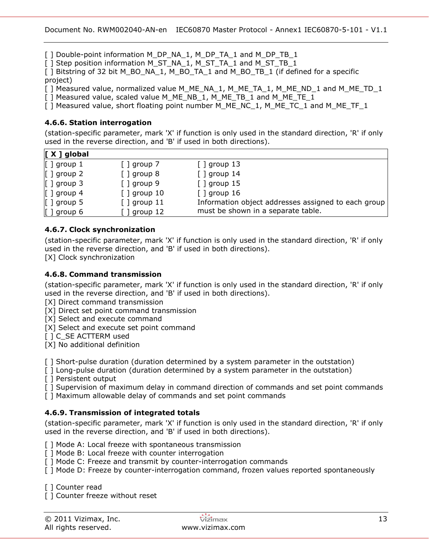[ ] Double-point information M\_DP\_NA\_1, M\_DP\_TA\_1 and M\_DP\_TB\_1

[ ] Step position information M\_ST\_NA\_1, M\_ST\_TA\_1 and M\_ST\_TB\_1

[ ] Bitstring of 32 bit M\_BO\_NA\_1, M\_BO\_TA\_1 and M\_BO\_TB\_1 (if defined for a specific project)

[ ] Measured value, normalized value M\_ME\_NA\_1, M\_ME\_TA\_1, M\_ME\_ND\_1 and M\_ME\_TD\_1

[ ] Measured value, scaled value M\_ME\_NB\_1, M\_ME\_TB\_1 and M\_ME\_TE\_1

[ ] Measured value, short floating point number M\_ME\_NC\_1, M\_ME\_TC\_1 and M\_ME\_TF\_1

### **4.6.6. Station interrogation**

(station-specific parameter, mark 'X' if function is only used in the standard direction, 'R' if only used in the reverse direction, and 'B' if used in both directions).

| $\vert$ [ X ] global    |                     |                                                     |
|-------------------------|---------------------|-----------------------------------------------------|
| $\left[\right]$ group 1 | $[$ ] group 7       | $[$ ] group 13                                      |
| $\left[\right]$ group 2 | $[$ ] group 8       | $[$ ] group 14                                      |
| $\left[\right]$ group 3 | $[$ ] group 9       | $[$ ] group 15                                      |
| $\left[\right]$ group 4 | $[$ ] group 10      | $\lceil$ ] group 16                                 |
| $\left[\right]$ group 5 | $[$ ] group 11      | Information object addresses assigned to each group |
| $\left[\right]$ group 6 | $\lceil$ ] group 12 | must be shown in a separate table.                  |

## **4.6.7. Clock synchronization**

(station-specific parameter, mark 'X' if function is only used in the standard direction, 'R' if only used in the reverse direction, and 'B' if used in both directions).

[X] Clock synchronization

#### **4.6.8. Command transmission**

(station-specific parameter, mark 'X' if function is only used in the standard direction, 'R' if only used in the reverse direction, and 'B' if used in both directions).

[X] Direct command transmission

[X] Direct set point command transmission

[X] Select and execute command

[X] Select and execute set point command

[ ] C\_SE ACTTERM used

[X] No additional definition

[ ] Short-pulse duration (duration determined by a system parameter in the outstation)

[ ] Long-pulse duration (duration determined by a system parameter in the outstation)

[ ] Persistent output

[ ] Supervision of maximum delay in command direction of commands and set point commands

[ ] Maximum allowable delay of commands and set point commands

### **4.6.9. Transmission of integrated totals**

(station-specific parameter, mark 'X' if function is only used in the standard direction, 'R' if only used in the reverse direction, and 'B' if used in both directions).

[] Mode A: Local freeze with spontaneous transmission

[ ] Mode B: Local freeze with counter interrogation

[ ] Mode C: Freeze and transmit by counter-interrogation commands

[ ] Mode D: Freeze by counter-interrogation command, frozen values reported spontaneously

[ ] Counter read

[ ] Counter freeze without reset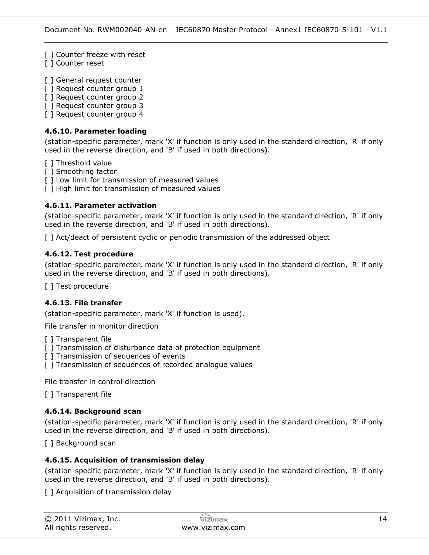[] Counter freeze with reset

[ ] Counter reset

[ ] General request counter

- [ ] Request counter group 1
- [ ] Request counter group 2
- [ ] Request counter group 3
- [ ] Request counter group 4

### **4.6.10. Parameter loading**

(station-specific parameter, mark 'X' if function is only used in the standard direction, 'R' if only used in the reverse direction, and 'B' if used in both directions).

- [ ] Threshold value
- [ ] Smoothing factor
- [] Low limit for transmission of measured values
- [] High limit for transmission of measured values

### **4.6.11. Parameter activation**

(station-specific parameter, mark 'X' if function is only used in the standard direction, 'R' if only used in the reverse direction, and 'B' if used in both directions).

[ ] Act/deact of persistent cyclic or periodic transmission of the addressed object

### **4.6.12. Test procedure**

(station-specific parameter, mark 'X' if function is only used in the standard direction, 'R' if only used in the reverse direction, and 'B' if used in both directions).

[ ] Test procedure

### **4.6.13. File transfer**

(station-specific parameter, mark 'X' if function is used).

File transfer in monitor direction

- [ ] Transparent file
- [ ] Transmission of disturbance data of protection equipment
- [ ] Transmission of sequences of events
- [] Transmission of sequences of recorded analogue values

File transfer in control direction

[ ] Transparent file

### **4.6.14. Background scan**

(station-specific parameter, mark 'X' if function is only used in the standard direction, 'R' if only used in the reverse direction, and 'B' if used in both directions).

[ ] Background scan

### **4.6.15. Acquisition of transmission delay**

(station-specific parameter, mark 'X' if function is only used in the standard direction, 'R' if only used in the reverse direction, and 'B' if used in both directions).

[] Acquisition of transmission delay